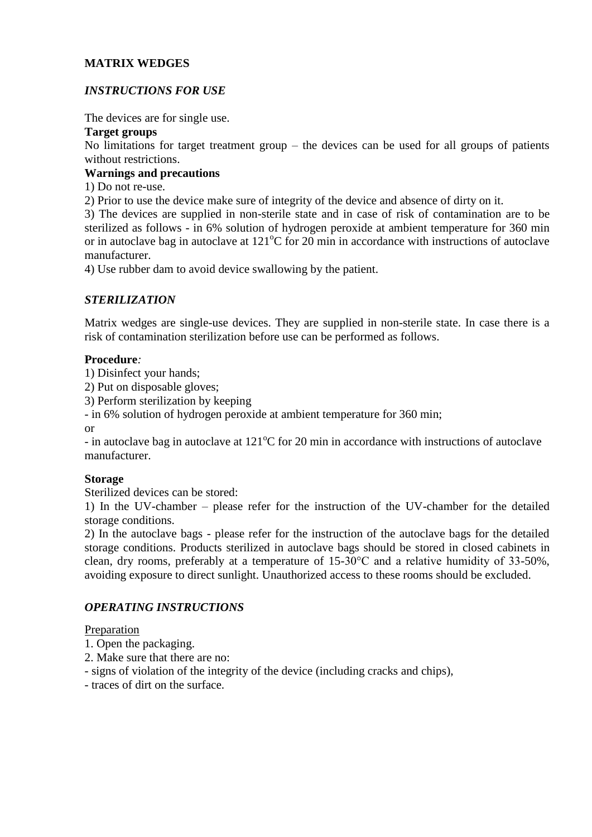## **MATRIX WEDGES**

# *INSTRUCTIONS FOR USE*

The devices are for single use.

### **Target groups**

No limitations for target treatment group – the devices can be used for all groups of patients without restrictions.

### **Warnings and precautions**

1) Do not re-use.

2) Prior to use the device make sure of integrity of the device and absence of dirty on it.

3) The devices are supplied in non-sterile state and in case of risk of contamination are to be sterilized as follows - in 6% solution of hydrogen peroxide at ambient temperature for 360 min or in autoclave bag in autoclave at  $121^{\circ}$ C for 20 min in accordance with instructions of autoclave manufacturer.

4) Use rubber dam to avoid device swallowing by the patient.

## *STERILIZATION*

Matrix wedges are single-use devices. They are supplied in non-sterile state. In case there is a risk of contamination sterilization before use can be performed as follows.

### **Procedure***:*

1) Disinfect your hands;

2) Put on disposable gloves;

3) Perform sterilization by keeping

- in 6% solution of hydrogen peroxide at ambient temperature for 360 min;

or

- in autoclave bag in autoclave at  $121^{\circ}$ C for 20 min in accordance with instructions of autoclave manufacturer.

## **Storage**

Sterilized devices can be stored:

1) In the UV-chamber – please refer for the instruction of the UV-chamber for the detailed storage conditions.

2) In the autoclave bags - please refer for the instruction of the autoclave bags for the detailed storage conditions. Products sterilized in autoclave bags should be stored in closed cabinets in clean, dry rooms, preferably at a temperature of 15-30°C and a relative humidity of 33-50%, avoiding exposure to direct sunlight. Unauthorized access to these rooms should be excluded.

# *OPERATING INSTRUCTIONS*

#### Preparation

- 1. Open the packaging.
- 2. Make sure that there are no:
- signs of violation of the integrity of the device (including cracks and chips),
- traces of dirt on the surface.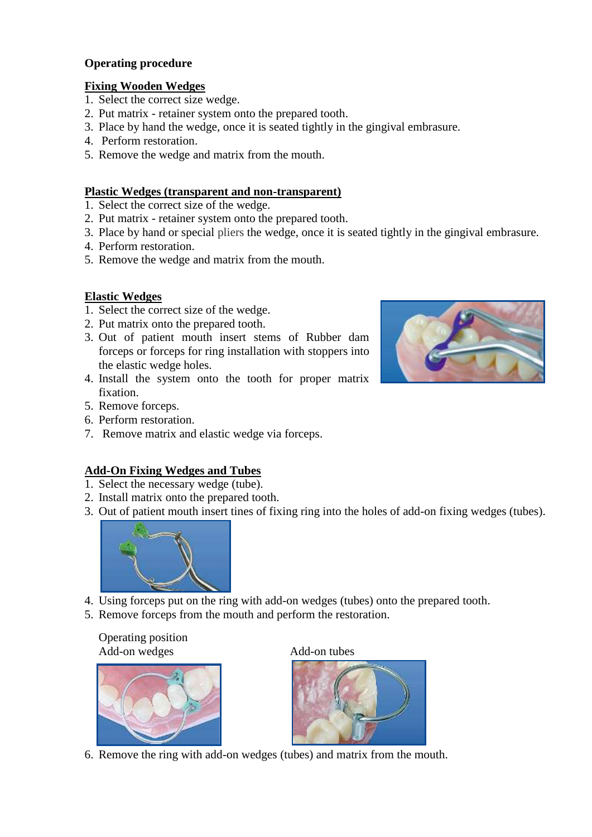## **Operating procedure**

# **Fixing Wooden Wedges**

- 1. Select the correct size wedge.
- 2. Put matrix retainer system onto the prepared tooth.
- 3. Place by hand the wedge, once it is seated tightly in the gingival embrasure.
- 4. Perform restoration.
- 5. Remove the wedge and matrix from the mouth.

## **Plastic Wedges (transparent and non-transparent)**

- 1. Select the correct size of the wedge.
- 2. Put matrix retainer system onto the prepared tooth.
- 3. Place by hand or special pliers the wedge, once it is seated tightly in the gingival embrasure.
- 4. Perform restoration.
- 5. Remove the wedge and matrix from the mouth.

# **Elastic Wedges**

- 1. Select the correct size of the wedge.
- 2. Put matrix onto the prepared tooth.
- 3. Out of patient mouth insert stems of Rubber dam forceps or forceps for ring installation with stoppers into the elastic wedge holes.
- 4. Install the system onto the tooth for proper matrix fixation.
- 5. Remove forceps.
- 6. Perform restoration.
- 7. Remove matrix and elastic wedge via forceps.

# **Add-On Fixing Wedges and Tubes**

- 1. Select the necessary wedge (tube).
- 2. Install matrix onto the prepared tooth.
- 3. Out of patient mouth insert tines of fixing ring into the holes of add-on fixing wedges (tubes).



- 4. Using forceps put on the ring with add-on wedges (tubes) onto the prepared tooth.
- 5. Remove forceps from the mouth and perform the restoration.

Operating position Add-on wedges Add-on tubes





6. Remove the ring with add-on wedges (tubes) and matrix from the mouth.